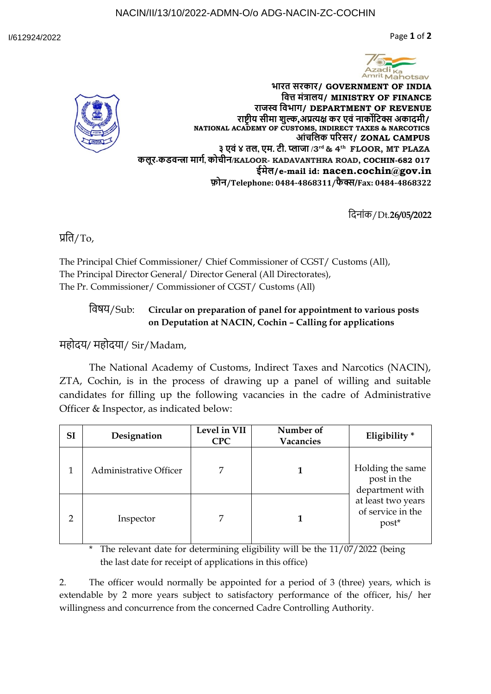Page **1** of **2**





**भारत सरकार/ GOVERNMENT OF INDIA वि त्त मंत्रालय/ MINISTRY OF FINANCE राजस्व वि भाग/ DEPARTMENT OF REVENUE राष्ट्रीय सीमा शुल्क,अप्रत्यक्ष कर ए ंनार्कोवि क्स अकादमी/ NATIONAL ACADEMY OF CUSTOMS, INDIRECT TAXES & NARCOTICS आंचलिक परिसर/ ZONAL CAMPUS ३ ए ं४ तल, एम. ी. प्लाजा /3 rd & 4th FLOOR, MT PLAZA कलूर-कड न्त्रा मार्ग, कोचीन/KALOOR- KADAVANTHRA ROAD, COCHIN-682 017 ईमेल/e-mail id: nacen.cochin@gov.in फ़ोन/Telephone: 0484-4868311/फै क्स/Fax: 0484-4868322**

दि-नांक/Dt.**26/05/2022**

प्रदि/To,

The Principal Chief Commissioner/ Chief Commissioner of CGST/ Customs (All), The Principal Director General/ Director General (All Directorates), The Pr. Commissioner/ Commissioner of CGST/ Customs (All)

## दि षय/Sub: **Circular on preparation of panel for appointment to various posts on Deputation at NACIN, Cochin – Calling for applications**

महोदय/ महोदया/ Sir/Madam,

The National Academy of Customs, Indirect Taxes and Narcotics (NACIN), ZTA, Cochin, is in the process of drawing up a panel of willing and suitable candidates for filling up the following vacancies in the cadre of Administrative Officer & Inspector, as indicated below:

| <b>SI</b> | Designation                   | Level in VII<br><b>CPC</b> | Number of<br>Vacancies | Eligibility*                                                                                           |
|-----------|-------------------------------|----------------------------|------------------------|--------------------------------------------------------------------------------------------------------|
|           | <b>Administrative Officer</b> | 7                          |                        | Holding the same<br>post in the<br>department with<br>at least two years<br>of service in the<br>post* |
| 2         | Inspector                     | 7                          |                        |                                                                                                        |

\* The relevant date for determining eligibility will be the 11/07/2022 (being the last date for receipt of applications in this office)

2. The officer would normally be appointed for a period of 3 (three) years, which is extendable by 2 more years subject to satisfactory performance of the officer, his/ her willingness and concurrence from the concerned Cadre Controlling Authority.